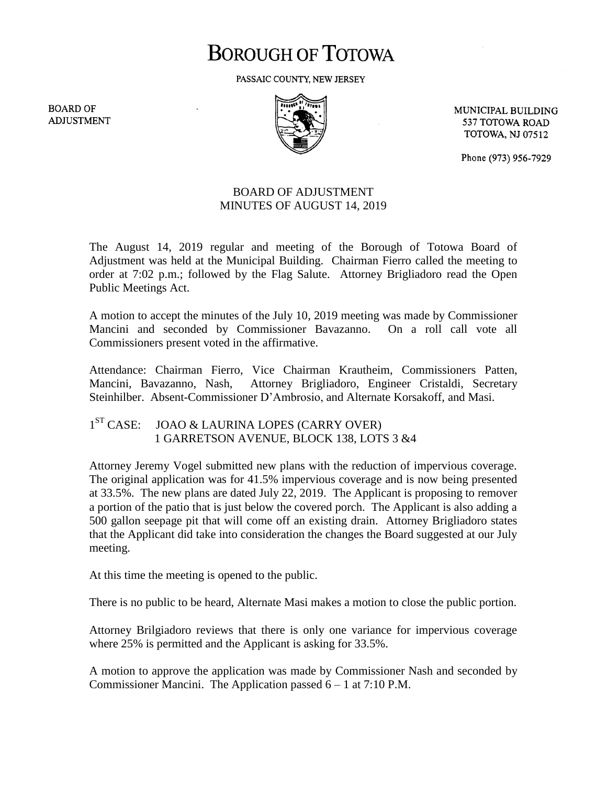# **BOROUGH OF TOTOWA**

PASSAIC COUNTY, NEW JERSEY

**BOARD OF ADJUSTMENT** 



MUNICIPAL BUILDING 537 TOTOWA ROAD **TOTOWA, NJ 07512** 

Phone (973) 956-7929

## BOARD OF ADJUSTMENT MINUTES OF AUGUST 14, 2019

The August 14, 2019 regular and meeting of the Borough of Totowa Board of Adjustment was held at the Municipal Building. Chairman Fierro called the meeting to order at 7:02 p.m.; followed by the Flag Salute. Attorney Brigliadoro read the Open Public Meetings Act.

A motion to accept the minutes of the July 10, 2019 meeting was made by Commissioner Mancini and seconded by Commissioner Bavazanno. On a roll call vote all Commissioners present voted in the affirmative.

Attendance: Chairman Fierro, Vice Chairman Krautheim, Commissioners Patten, Mancini, Bavazanno, Nash, Attorney Brigliadoro, Engineer Cristaldi, Secretary Steinhilber. Absent-Commissioner D'Ambrosio, and Alternate Korsakoff, and Masi.

#### $1<sup>ST</sup> CASE:$ JOAO & LAURINA LOPES (CARRY OVER) 1 GARRETSON AVENUE, BLOCK 138, LOTS 3 &4

Attorney Jeremy Vogel submitted new plans with the reduction of impervious coverage. The original application was for 41.5% impervious coverage and is now being presented at 33.5%. The new plans are dated July 22, 2019. The Applicant is proposing to remover a portion of the patio that is just below the covered porch. The Applicant is also adding a 500 gallon seepage pit that will come off an existing drain. Attorney Brigliadoro states that the Applicant did take into consideration the changes the Board suggested at our July meeting.

At this time the meeting is opened to the public.

There is no public to be heard, Alternate Masi makes a motion to close the public portion.

Attorney Brilgiadoro reviews that there is only one variance for impervious coverage where 25% is permitted and the Applicant is asking for 33.5%.

A motion to approve the application was made by Commissioner Nash and seconded by Commissioner Mancini. The Application passed  $6 - 1$  at 7:10 P.M.